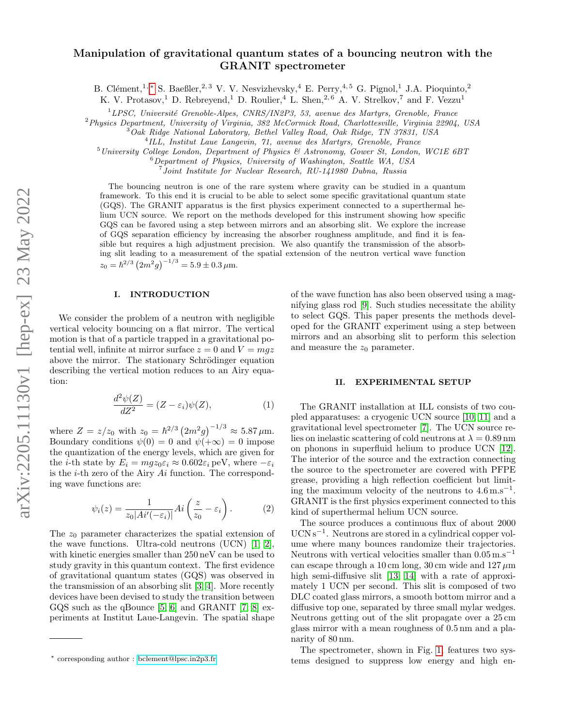# Manipulation of gravitational quantum states of a bouncing neutron with the GRANIT spectrometer

B. Clément,<sup>1, \*</sup> S. Baeßler,<sup>2, 3</sup> V. V. Nesvizhevsky,<sup>4</sup> E. Perry,<sup>4, 5</sup> G. Pignol,<sup>1</sup> J.A. Pioquinto,<sup>2</sup>

K. V. Protasov,<sup>1</sup> D. Rebreyend,<sup>1</sup> D. Roulier,<sup>4</sup> L. Shen,<sup>2,6</sup> A. V. Strelkov,<sup>7</sup> and F. Vezzu<sup>1</sup>

 ${}^{1}LPSC$ , Université Grenoble-Alpes, CNRS/IN2P3, 53, avenue des Martyrs, Grenoble, France

<sup>2</sup>Physics Department, University of Virginia, 382 McCormick Road, Charlottesville, Virginia 22904, USA

 $3^3$ Oak Ridge National Laboratory, Bethel Valley Road, Oak Ridge, TN 37831, USA

4 ILL, Institut Laue Langevin, 71, avenue des Martyrs, Grenoble, France

 $5$ University College London, Department of Physics & Astronomy, Gower St, London, WC1E 6BT

 $6$ Department of Physics, University of Washington, Seattle WA, USA

7 Joint Institute for Nuclear Research, RU-141980 Dubna, Russia

The bouncing neutron is one of the rare system where gravity can be studied in a quantum framework. To this end it is crucial to be able to select some specific gravitational quantum state (GQS). The GRANIT apparatus is the first physics experiment connected to a superthermal helium UCN source. We report on the methods developed for this instrument showing how specific GQS can be favored using a step between mirrors and an absorbing slit. We explore the increase of GQS separation efficiency by increasing the absorber roughness amplitude, and find it is feasible but requires a high adjustment precision. We also quantify the transmission of the absorbing slit leading to a measurement of the spatial extension of the neutron vertical wave function  $z_0 = \hbar^{2/3} (2m^2 g)^{-1/3} = 5.9 \pm 0.3 \,\mu \mathrm{m}.$ 

# I. INTRODUCTION

We consider the problem of a neutron with negligible vertical velocity bouncing on a flat mirror. The vertical motion is that of a particle trapped in a gravitational potential well, infinite at mirror surface  $z = 0$  and  $V = mgz$ above the mirror. The stationary Schrödinger equation describing the vertical motion reduces to an Airy equation:

$$
\frac{d^2\psi(Z)}{dZ^2} = (Z - \varepsilon_i)\psi(Z),\tag{1}
$$

where  $Z = z/z_0$  with  $z_0 = \hbar^{2/3} (2m^2 g)^{-1/3} \approx 5.87 \,\mu \text{m}$ . Boundary conditions  $\psi(0) = 0$  and  $\psi(+\infty) = 0$  impose the quantization of the energy levels, which are given for the *i*-th state by  $E_i = mgz_0 \varepsilon_i \approx 0.602 \varepsilon_i \text{ peV}$ , where  $-\varepsilon_i$ is the  $i$ -th zero of the Airy  $Ai$  function. The corresponding wave functions are:

<span id="page-0-1"></span>
$$
\psi_i(z) = \frac{1}{z_0 |Ai'(-\varepsilon_i)|} Ai\left(\frac{z}{z_0} - \varepsilon_i\right). \tag{2}
$$

The  $z_0$  parameter characterizes the spatial extension of the wave functions. Ultra-cold neutrons (UCN) [\[1,](#page-4-0) [2\]](#page-4-1), with kinetic energies smaller than 250 neV can be used to study gravity in this quantum context. The first evidence of gravitational quantum states (GQS) was observed in the transmission of an absorbing slit [\[3,](#page-4-2) [4\]](#page-4-3). More recently devices have been devised to study the transition between GQS such as the qBounce [\[5,](#page-4-4) [6\]](#page-4-5) and GRANIT [\[7,](#page-4-6) [8\]](#page-4-7) experiments at Institut Laue-Langevin. The spatial shape

of the wave function has also been observed using a magnifying glass rod [\[9\]](#page-4-8). Such studies necessitate the ability to select GQS. This paper presents the methods developed for the GRANIT experiment using a step between mirrors and an absorbing slit to perform this selection and measure the  $z_0$  parameter.

#### II. EXPERIMENTAL SETUP

The GRANIT installation at ILL consists of two coupled apparatuses: a cryogenic UCN source [\[10,](#page-4-9) [11\]](#page-4-10) and a gravitational level spectrometer [\[7\]](#page-4-6). The UCN source relies on inelastic scattering of cold neutrons at  $\lambda = 0.89$  nm on phonons in superfluid helium to produce UCN [\[12\]](#page-4-11). The interior of the source and the extraction connecting the source to the spectrometer are covered with PFPE grease, providing a high reflection coefficient but limiting the maximum velocity of the neutrons to  $4.6 \text{ m.s}^{-1}$ . GRANIT is the first physics experiment connected to this kind of superthermal helium UCN source.

The source produces a continuous flux of about 2000 UCN s<sup>-1</sup>. Neutrons are stored in a cylindrical copper volume where many bounces randomize their trajectories. Neutrons with vertical velocities smaller than  $0.05 \text{ m.s}^{-1}$ can escape through a 10 cm long, 30 cm wide and  $127 \,\mu m$ high semi-diffusive slit [\[13,](#page-4-12) [14\]](#page-4-13) with a rate of approximately 1 UCN per second. This slit is composed of two DLC coated glass mirrors, a smooth bottom mirror and a diffusive top one, separated by three small mylar wedges. Neutrons getting out of the slit propagate over a 25 cm glass mirror with a mean roughness of 0.5 nm and a planarity of 80 nm.

The spectrometer, shown in Fig. [1,](#page-1-0) features two systems designed to suppress low energy and high en-

<span id="page-0-0"></span><sup>∗</sup> corresponding author : [bclement@lpsc.in2p3.fr](mailto:bclement@lpsc.in2p3.fr)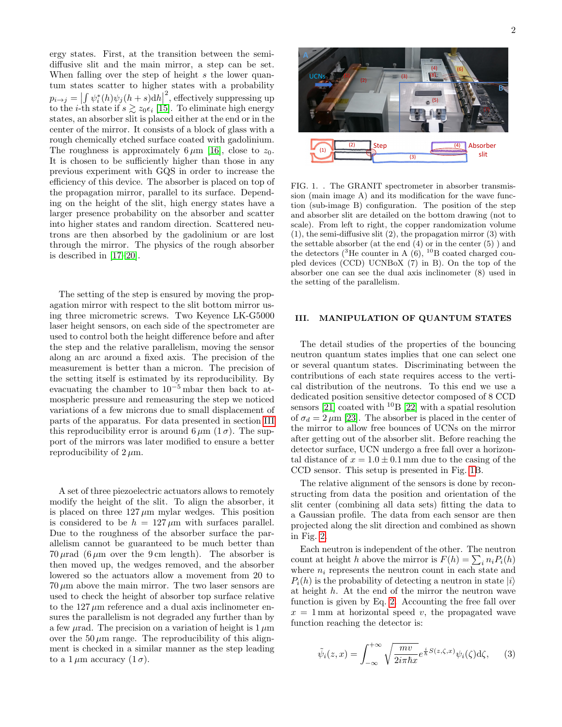ergy states. First, at the transition between the semidiffusive slit and the main mirror, a step can be set. When falling over the step of height s the lower quantum states scatter to higher states with a probability  $p_{i\rightarrow j} = \left| \int_{i} \psi_i^*(h) \psi_j(h+s) dh \right|$ <sup>2</sup>, effectively suppressing up to the *i*-th state if  $s \gtrsim z_0 \epsilon_i$  [\[15\]](#page-4-14). To eliminate high energy states, an absorber slit is placed either at the end or in the center of the mirror. It consists of a block of glass with a rough chemically etched surface coated with gadolinium. The roughness is approximately 6  $\mu$ m [\[16\]](#page-4-15), close to  $z_0$ . It is chosen to be sufficiently higher than those in any previous experiment with GQS in order to increase the efficiency of this device. The absorber is placed on top of the propagation mirror, parallel to its surface. Depending on the height of the slit, high energy states have a larger presence probability on the absorber and scatter into higher states and random direction. Scattered neutrons are then absorbed by the gadolinium or are lost through the mirror. The physics of the rough absorber is described in [\[17](#page-4-16)[–20\]](#page-4-17).

The setting of the step is ensured by moving the propagation mirror with respect to the slit bottom mirror using three micrometric screws. Two Keyence LK-G5000 laser height sensors, on each side of the spectrometer are used to control both the height difference before and after the step and the relative parallelism, moving the sensor along an arc around a fixed axis. The precision of the measurement is better than a micron. The precision of the setting itself is estimated by its reproducibility. By evacuating the chamber to  $10^{-5}$  mbar then back to atmospheric pressure and remeasuring the step we noticed variations of a few microns due to small displacement of parts of the apparatus. For data presented in section [III](#page-1-1) this reproducibility error is around  $6 \mu m$  (1 $\sigma$ ). The support of the mirrors was later modified to ensure a better reproducibility of  $2 \mu m$ .

A set of three piezoelectric actuators allows to remotely modify the height of the slit. To align the absorber, it is placed on three  $127 \mu m$  mylar wedges. This position is considered to be  $h = 127 \,\mu \text{m}$  with surfaces parallel. Due to the roughness of the absorber surface the parallelism cannot be guaranteed to be much better than  $70 \mu$ rad  $(6 \mu$ m over the 9 cm length). The absorber is then moved up, the wedges removed, and the absorber lowered so the actuators allow a movement from 20 to  $70 \,\mu \text{m}$  above the main mirror. The two laser sensors are used to check the height of absorber top surface relative to the  $127 \mu m$  reference and a dual axis inclinometer ensures the parallelism is not degraded any further than by a few  $\mu$ rad. The precision on a variation of height is 1  $\mu$ m over the  $50 \mu m$  range. The reproducibility of this alignment is checked in a similar manner as the step leading The roughless is approximately fogmer [6], does to a  $\alpha$ -<br>The is the solution to be sufficiently higher than those in any<br>previous experiment with GQS in order to increase the<br>definiency of this device. The absorber is p



FIG. 1. . The GRANIT spectrometer in absorber transmission (main image A) and its modification for the wave function (sub-image B) configuration. The position of the step and absorber slit are detailed on the bottom drawing (not to scale). From left to right, the copper randomization volume (1), the semi-diffusive slit (2), the propagation mirror (3) with the settable absorber (at the end  $(4)$  or in the center  $(5)$ ) and the detectors ( ${}^{3}$ He counter in A (6),  ${}^{10}$ B coated charged coupled devices (CCD) UCNBoX (7) in B). On the top of the absorber one can see the dual axis inclinometer (8) used in the setting of the parallelism.

## <span id="page-1-1"></span><span id="page-1-0"></span>III. MANIPULATION OF QUANTUM STATES

The detail studies of the properties of the bouncing neutron quantum states implies that one can select one or several quantum states. Discriminating between the contributions of each state requires access to the vertical distribution of the neutrons. To this end we use a dedicated position sensitive detector composed of 8 CCD sensors  $[21]$  coated with <sup>10</sup>B  $[22]$  with a spatial resolution of  $\sigma_d = 2 \,\mu\text{m}$  [\[23\]](#page-4-20). The absorber is placed in the center of the mirror to allow free bounces of UCNs on the mirror after getting out of the absorber slit. Before reaching the detector surface, UCN undergo a free fall over a horizontal distance of  $x = 1.0 \pm 0.1$  mm due to the casing of the CCD sensor. This setup is presented in Fig. [1B](#page-1-0).

The relative alignment of the sensors is done by reconstructing from data the position and orientation of the slit center (combining all data sets) fitting the data to a Gaussian profile. The data from each sensor are then projected along the slit direction and combined as shown in Fig. [2.](#page-2-0)

Each neutron is independent of the other. The neutron count at height h above the mirror is  $F(h) = \sum_i n_i P_i(h)$ where  $n_i$  represents the neutron count in each state and  $P_i(h)$  is the probability of detecting a neutron in state  $|i\rangle$ at height h. At the end of the mirror the neutron wave function is given by Eq. [2.](#page-0-1) Accounting the free fall over  $x = 1$  mm at horizontal speed v, the propagated wave function reaching the detector is:

$$
\tilde{\psi}_i(z,x) = \int_{-\infty}^{+\infty} \sqrt{\frac{mv}{2i\pi\hbar x}} e^{\frac{i}{\hbar}S(z,\zeta,x)} \psi_i(\zeta) d\zeta, \qquad (3)
$$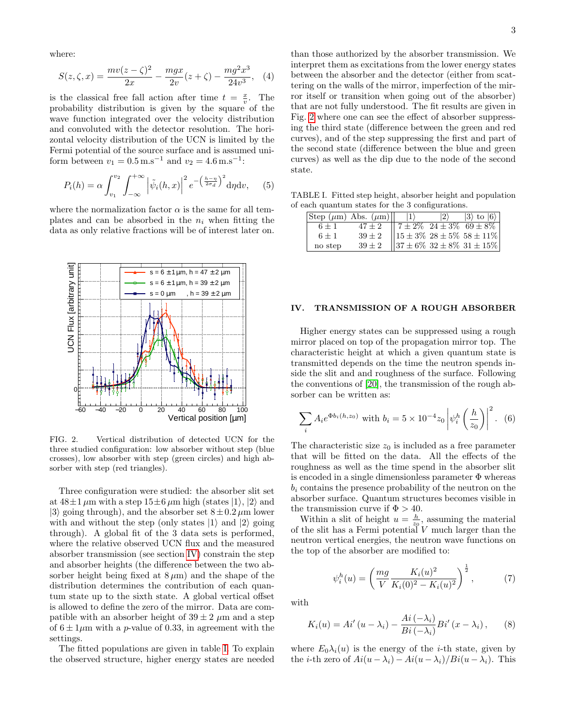where:

$$
S(z,\zeta,x) = \frac{mv(z-\zeta)^2}{2x} - \frac{mgx}{2v}(z+\zeta) - \frac{mg^2x^3}{24v^3}, \quad (4)
$$

is the classical free fall action after time  $t = \frac{x}{v}$ . The probability distribution is given by the square of the wave function integrated over the velocity distribution and convoluted with the detector resolution. The horizontal velocity distribution of the UCN is limited by the Fermi potential of the source surface and is assumed uniform between  $v_1 = 0.5 \,\mathrm{m.s^{-1}}$  and  $v_2 = 4.6 \,\mathrm{m.s^{-1}}$ :

$$
P_i(h) = \alpha \int_{v_1}^{v_2} \int_{-\infty}^{+\infty} \left| \tilde{\psi}_i(h, x) \right|^2 e^{-\left(\frac{h - \eta}{2\sigma_d}\right)^2} d\eta dv, \quad (5)
$$

where the normalization factor  $\alpha$  is the same for all templates and can be absorbed in the  $n_i$  when fitting the data as only relative fractions will be of interest later on.



<span id="page-2-0"></span>FIG. 2. Vertical distribution of detected UCN for the three studied configuration: low absorber without step (blue crosses), low absorber with step (green circles) and high absorber with step (red triangles).

Three configuration were studied: the absorber slit set at  $48\pm1 \,\mu \mathrm{m}$  with a step  $15\pm6 \,\mu \mathrm{m}$  high (states  $|1\rangle$ ,  $|2\rangle$  and  $|3\rangle$  going through), and the absorber set  $8 \pm 0.2 \,\mu$ m lower with and without the step (only states  $|1\rangle$  and  $|2\rangle$  going through). A global fit of the 3 data sets is performed, where the relative observed UCN flux and the measured absorber transmission (see section [IV\)](#page-2-1) constrain the step and absorber heights (the difference between the two absorber height being fixed at  $8 \mu m$ ) and the shape of the distribution determines the contribution of each quantum state up to the sixth state. A global vertical offset is allowed to define the zero of the mirror. Data are compatible with an absorber height of  $39 \pm 2 \ \mu m$  and a step of  $6 \pm 1 \mu$ m with a *p*-value of 0.33, in agreement with the settings.

The fitted populations are given in table [I.](#page-2-2) To explain the observed structure, higher energy states are needed

than those authorized by the absorber transmission. We interpret them as excitations from the lower energy states between the absorber and the detector (either from scattering on the walls of the mirror, imperfection of the mirror itself or transition when going out of the absorber) that are not fully understood. The fit results are given in Fig. [2](#page-2-0) where one can see the effect of absorber suppressing the third state (difference between the green and red curves), and of the step suppressing the first and part of the second state (difference between the blue and green curves) as well as the dip due to the node of the second state.

TABLE I. Fitted step height, absorber height and population of each quantum states for the 3 configurations.

<span id="page-2-2"></span>

|         | $ \text{Step } (\mu m) \text{ Abs. } (\mu m) $ | $ 2\rangle$ | $ 3\rangle$ to $ 6\rangle$                                                                                                                                                              |
|---------|------------------------------------------------|-------------|-----------------------------------------------------------------------------------------------------------------------------------------------------------------------------------------|
| $6 + 1$ | $47 \pm 2$                                     |             |                                                                                                                                                                                         |
| $6 + 1$ | $39 \pm 2$                                     |             |                                                                                                                                                                                         |
| no step | $39 \pm 2$                                     |             | $\begin{array}{ l l } \hline 7 \pm 2\% & 24 \pm 3\% & 69 \pm 8\% \\ \hline 15 \pm 3\% & 28 \pm 5\% & 58 \pm 11\% \\ \hline 37 \pm 6\% & 32 \pm 8\% & 31 \pm 15\% \\ \hline \end{array}$ |

## <span id="page-2-1"></span>IV. TRANSMISSION OF A ROUGH ABSORBER

Higher energy states can be suppressed using a rough mirror placed on top of the propagation mirror top. The characteristic height at which a given quantum state is transmitted depends on the time the neutron spends inside the slit and and roughness of the surface. Following the conventions of [\[20\]](#page-4-17), the transmission of the rough absorber can be written as:

$$
\sum_{i} A_i e^{\Phi b_i(h,z_0)} \text{ with } b_i = 5 \times 10^{-4} z_0 \left| \psi_i^h \left( \frac{h}{z_0} \right) \right|^2. \tag{6}
$$

The characteristic size  $z_0$  is included as a free parameter that will be fitted on the data. All the effects of the roughness as well as the time spend in the absorber slit is encoded in a single dimensionless parameter  $\Phi$  whereas  $b_i$  contains the presence probability of the neutron on the absorber surface. Quantum structures becomes visible in the transmission curve if  $\Phi > 40$ .

Within a slit of height  $u = \frac{h}{z_0}$ , assuming the material of the slit has a Fermi potential V much larger than the neutron vertical energies, the neutron wave functions on the top of the absorber are modified to:

$$
\psi_i^h(u) = \left(\frac{mg}{V} \frac{K_i(u)^2}{K_i(0)^2 - K_i(u)^2}\right)^{\frac{1}{2}},\tag{7}
$$

with

$$
K_i(u) = Ai'(u - \lambda_i) - \frac{Ai(-\lambda_i)}{Bi(-\lambda_i)} Bi'(x - \lambda_i), \qquad (8)
$$

where  $E_0 \lambda_i(u)$  is the energy of the *i*-th state, given by the *i*-th zero of  $Ai(u - \lambda_i) - Ai(u - \lambda_i)/Bi(u - \lambda_i)$ . This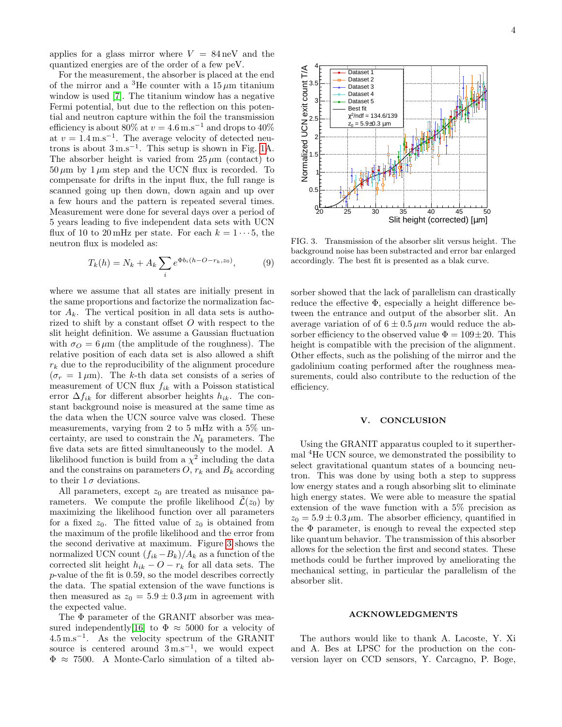applies for a glass mirror where  $V = 84 \,\text{neV}$  and the quantized energies are of the order of a few peV.

For the measurement, the absorber is placed at the end of the mirror and a <sup>3</sup>He counter with a  $15 \mu m$  titanium window is used [\[7\]](#page-4-6). The titanium window has a negative Fermi potential, but due to the reflection on this potential and neutron capture within the foil the transmission efficiency is about 80% at  $v = 4.6$  m.s<sup>-1</sup> and drops to 40% at  $v = 1.4 \,\mathrm{m.s^{-1}}$ . The average velocity of detected neutrons is about  $3 \text{ m.s}^{-1}$ . This setup is shown in Fig. [1A](#page-1-0). The absorber height is varied from  $25 \mu m$  (contact) to  $50 \mu m$  by  $1 \mu m$  step and the UCN flux is recorded. To compensate for drifts in the input flux, the full range is scanned going up then down, down again and up over a few hours and the pattern is repeated several times. Measurement were done for several days over a period of 5 years leading to five independent data sets with UCN flux of 10 to 20 mHz per state. For each  $k = 1 \cdots 5$ , the neutron flux is modeled as:

$$
T_k(h) = N_k + A_k \sum_{i} e^{\Phi b_i(h - O - r_k, z_0)}, \tag{9}
$$

where we assume that all states are initially present in the same proportions and factorize the normalization factor  $A_k$ . The vertical position in all data sets is authorized to shift by a constant offset  $O$  with respect to the slit height definition. We assume a Gaussian fluctuation with  $\sigma_O = 6 \,\mu\text{m}$  (the amplitude of the roughness). The relative position of each data set is also allowed a shift  $r_k$  due to the reproducibility of the alignment procedure  $(\sigma_r = 1 \,\mu\text{m})$ . The k-th data set consists of a series of measurement of UCN flux  $f_{ik}$  with a Poisson statistical error  $\Delta f_{ik}$  for different absorber heights  $h_{ik}$ . The constant background noise is measured at the same time as the data when the UCN source valve was closed. These measurements, varying from 2 to 5 mHz with a 5% uncertainty, are used to constrain the  $N_k$  parameters. The five data sets are fitted simultaneously to the model. A likelihood function is build from a  $\chi^2$  including the data and the constrains on parameters  $O, r_k$  and  $B_k$  according to their  $1\sigma$  deviations.

All parameters, except  $z_0$  are treated as nuisance parameters. We compute the profile likelihood  $\mathcal{L}(z_0)$  by maximizing the likelihood function over all parameters for a fixed  $z_0$ . The fitted value of  $z_0$  is obtained from the maximum of the profile likelihood and the error from the second derivative at maximum. Figure [3](#page-3-0) shows the normalized UCN count  $(f_{ik}-B_k)/A_k$  as a function of the corrected slit height  $h_{ik} - O - r_k$  for all data sets. The p-value of the fit is 0.59, so the model describes correctly the data. The spatial extension of the wave functions is then measured as  $z_0 = 5.9 \pm 0.3 \,\mu \text{m}$  in agreement with the expected value.

The Φ parameter of the GRANIT absorber was mea-sured independently[\[16\]](#page-4-15) to  $\Phi \approx 5000$  for a velocity of 4.5 m.s<sup>−</sup><sup>1</sup> . As the velocity spectrum of the GRANIT source is centered around  $3 \text{ m.s}^{-1}$ , we would expect  $\Phi \approx 7500$ . A Monte-Carlo simulation of a tilted ab-



<span id="page-3-0"></span>FIG. 3. Transmission of the absorber slit versus height. The background noise has been substracted and error bar enlarged accordingly. The best fit is presented as a blak curve.

sorber showed that the lack of parallelism can drastically reduce the effective Φ, especially a height difference between the entrance and output of the absorber slit. An average variation of of  $6 \pm 0.5 \,\mu m$  would reduce the absorber efficiency to the observed value  $\Phi = 109 \pm 20$ . This height is compatible with the precision of the alignment. Other effects, such as the polishing of the mirror and the gadolinium coating performed after the roughness measurements, could also contribute to the reduction of the efficiency.

#### V. CONCLUSION

Using the GRANIT apparatus coupled to it superthermal <sup>4</sup>He UCN source, we demonstrated the possibility to select gravitational quantum states of a bouncing neutron. This was done by using both a step to suppress low energy states and a rough absorbing slit to eliminate high energy states. We were able to measure the spatial extension of the wave function with a 5% precision as  $z_0 = 5.9 \pm 0.3 \,\mu$ m. The absorber efficiency, quantified in the  $\Phi$  parameter, is enough to reveal the expected step like quantum behavior. The transmission of this absorber allows for the selection the first and second states. These methods could be further improved by ameliorating the mechanical setting, in particular the parallelism of the absorber slit.

#### ACKNOWLEDGMENTS

The authors would like to thank A. Lacoste, Y. Xi and A. Bes at LPSC for the production on the conversion layer on CCD sensors, Y. Carcagno, P. Boge,